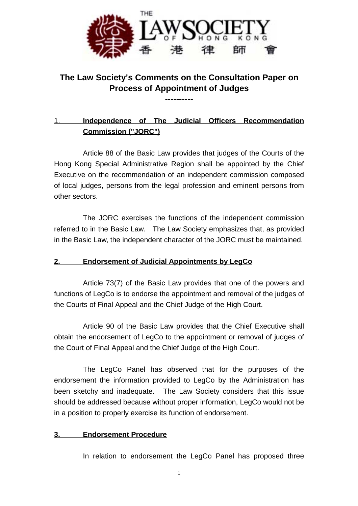

# **The Law Society's Comments on the Consultation Paper on Process of Appointment of Judges**

**----------**

# 1. **Independence of The Judicial Officers Recommendation Commission ("JORC")**

Article 88 of the Basic Law provides that judges of the Courts of the Hong Kong Special Administrative Region shall be appointed by the Chief Executive on the recommendation of an independent commission composed of local judges, persons from the legal profession and eminent persons from other sectors.

The JORC exercises the functions of the independent commission referred to in the Basic Law. The Law Society emphasizes that, as provided in the Basic Law, the independent character of the JORC must be maintained.

# **2. Endorsement of Judicial Appointments by LegCo**

Article 73(7) of the Basic Law provides that one of the powers and functions of LegCo is to endorse the appointment and removal of the judges of the Courts of Final Appeal and the Chief Judge of the High Court.

Article 90 of the Basic Law provides that the Chief Executive shall obtain the endorsement of LegCo to the appointment or removal of judges of the Court of Final Appeal and the Chief Judge of the High Court.

The LegCo Panel has observed that for the purposes of the endorsement the information provided to LegCo by the Administration has been sketchy and inadequate. The Law Society considers that this issue should be addressed because without proper information, LegCo would not be in a position to properly exercise its function of endorsement.

# **3. Endorsement Procedure**

In relation to endorsement the LegCo Panel has proposed three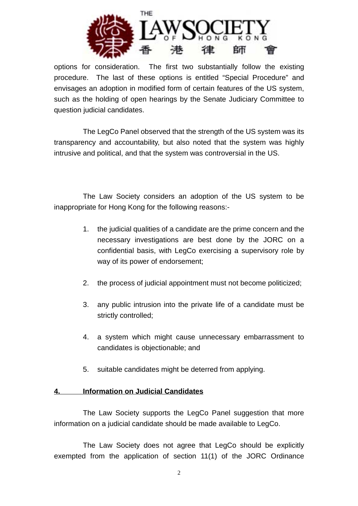

options for consideration. The first two substantially follow the existing procedure. The last of these options is entitled "Special Procedure" and envisages an adoption in modified form of certain features of the US system, such as the holding of open hearings by the Senate Judiciary Committee to question judicial candidates.

The LegCo Panel observed that the strength of the US system was its transparency and accountability, but also noted that the system was highly intrusive and political, and that the system was controversial in the US.

The Law Society considers an adoption of the US system to be inappropriate for Hong Kong for the following reasons:-

- 1. the judicial qualities of a candidate are the prime concern and the necessary investigations are best done by the JORC on a confidential basis, with LegCo exercising a supervisory role by way of its power of endorsement;
- 2. the process of judicial appointment must not become politicized;
- 3. any public intrusion into the private life of a candidate must be strictly controlled;
- 4. a system which might cause unnecessary embarrassment to candidates is objectionable; and
- 5. suitable candidates might be deterred from applying.

#### **4. Information on Judicial Candidates**

The Law Society supports the LegCo Panel suggestion that more information on a judicial candidate should be made available to LegCo.

The Law Society does not agree that LegCo should be explicitly exempted from the application of section 11(1) of the JORC Ordinance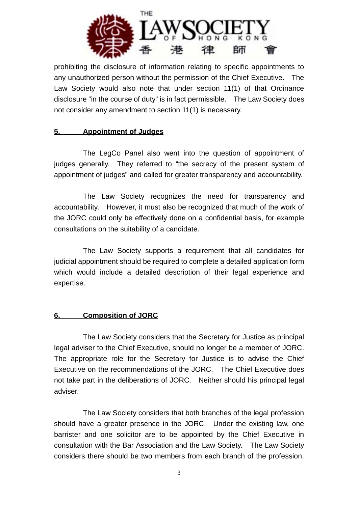

prohibiting the disclosure of information relating to specific appointments to any unauthorized person without the permission of the Chief Executive. The Law Society would also note that under section 11(1) of that Ordinance disclosure "in the course of duty" is in fact permissible. The Law Society does not consider any amendment to section 11(1) is necessary.

#### **5. Appointment of Judges**

The LegCo Panel also went into the question of appointment of judges generally. They referred to "the secrecy of the present system of appointment of judges" and called for greater transparency and accountability.

The Law Society recognizes the need for transparency and accountability. However, it must also be recognized that much of the work of the JORC could only be effectively done on a confidential basis, for example consultations on the suitability of a candidate.

The Law Society supports a requirement that all candidates for judicial appointment should be required to complete a detailed application form which would include a detailed description of their legal experience and expertise.

# **6. Composition of JORC**

The Law Society considers that the Secretary for Justice as principal legal adviser to the Chief Executive, should no longer be a member of JORC. The appropriate role for the Secretary for Justice is to advise the Chief Executive on the recommendations of the JORC. The Chief Executive does not take part in the deliberations of JORC. Neither should his principal legal adviser.

The Law Society considers that both branches of the legal profession should have a greater presence in the JORC. Under the existing law, one barrister and one solicitor are to be appointed by the Chief Executive in consultation with the Bar Association and the Law Society. The Law Society considers there should be two members from each branch of the profession.